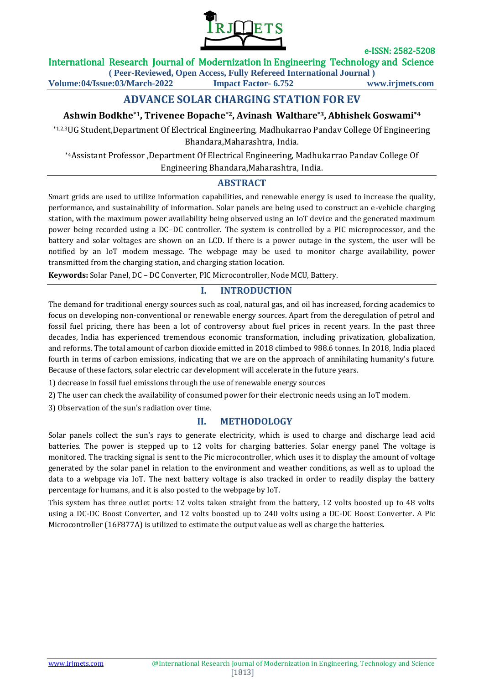

### International Research Journal of Modernization in Engineering Technology and Science

**( Peer-Reviewed, Open Access, Fully Refereed International Journal )**

**Volume:04/Issue:03/March-2022 Impact Factor- 6.752 www.irjmets.com**

# **ADVANCE SOLAR CHARGING STATION FOR EV**

# **Ashwin Bodkhe\*1, Trivenee Bopache\*2, Avinash Walthare\*3, Abhishek Goswami\*4**

\*1,2,3UG Student,Department Of Electrical Engineering, Madhukarrao Pandav College Of Engineering Bhandara,Maharashtra, India.

\*4Assistant Professor ,Department Of Electrical Engineering, Madhukarrao Pandav College Of Engineering Bhandara,Maharashtra, India.

## **ABSTRACT**

Smart grids are used to utilize information capabilities, and renewable energy is used to increase the quality, performance, and sustainability of information. Solar panels are being used to construct an e-vehicle charging station, with the maximum power availability being observed using an IoT device and the generated maximum power being recorded using a DC–DC controller. The system is controlled by a PIC microprocessor, and the battery and solar voltages are shown on an LCD. If there is a power outage in the system, the user will be notified by an IoT modem message. The webpage may be used to monitor charge availability, power transmitted from the charging station, and charging station location.

**Keywords:** Solar Panel, DC – DC Converter, PIC Microcontroller, Node MCU, Battery.

## **I. INTRODUCTION**

The demand for traditional energy sources such as coal, natural gas, and oil has increased, forcing academics to focus on developing non-conventional or renewable energy sources. Apart from the deregulation of petrol and fossil fuel pricing, there has been a lot of controversy about fuel prices in recent years. In the past three decades, India has experienced tremendous economic transformation, including privatization, globalization, and reforms. The total amount of carbon dioxide emitted in 2018 climbed to 988.6 tonnes. In 2018, India placed fourth in terms of carbon emissions, indicating that we are on the approach of annihilating humanity's future. Because of these factors, solar electric car development will accelerate in the future years.

1) decrease in fossil fuel emissions through the use of renewable energy sources

2) The user can check the availability of consumed power for their electronic needs using an IoT modem.

3) Observation of the sun's radiation over time.

## **II. METHODOLOGY**

Solar panels collect the sun's rays to generate electricity, which is used to charge and discharge lead acid batteries. The power is stepped up to 12 volts for charging batteries. Solar energy panel The voltage is monitored. The tracking signal is sent to the Pic microcontroller, which uses it to display the amount of voltage generated by the solar panel in relation to the environment and weather conditions, as well as to upload the data to a webpage via IoT. The next battery voltage is also tracked in order to readily display the battery percentage for humans, and it is also posted to the webpage by IoT.

This system has three outlet ports: 12 volts taken straight from the battery, 12 volts boosted up to 48 volts using a DC-DC Boost Converter, and 12 volts boosted up to 240 volts using a DC-DC Boost Converter. A Pic Microcontroller (16F877A) is utilized to estimate the output value as well as charge the batteries.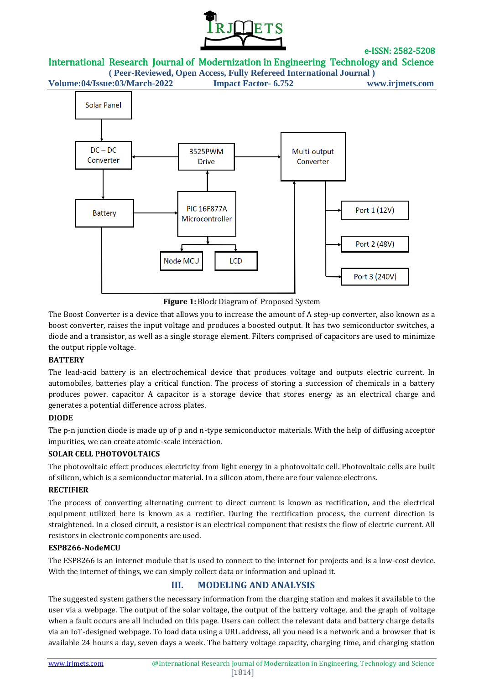

International Research Journal of Modernization in Engineering Technology and Science

**( Peer-Reviewed, Open Access, Fully Refereed International Journal ) Volume:04/Issue:03/March-2022 Impact Factor- 6.752 www.irjmets.com**



**Figure 1:** Block Diagram of Proposed System

The Boost Converter is a device that allows you to increase the amount of A step-up converter, also known as a boost converter, raises the input voltage and produces a boosted output. It has two semiconductor switches, a diode and a transistor, as well as a single storage element. Filters comprised of capacitors are used to minimize the output ripple voltage.

## **BATTERY**

The lead-acid battery is an electrochemical device that produces voltage and outputs electric current. In automobiles, batteries play a critical function. The process of storing a succession of chemicals in a battery produces power. capacitor A capacitor is a storage device that stores energy as an electrical charge and generates a potential difference across plates.

## **DIODE**

The p-n junction diode is made up of p and n-type semiconductor materials. With the help of diffusing acceptor impurities, we can create atomic-scale interaction.

## **SOLAR CELL PHOTOVOLTAICS**

The photovoltaic effect produces electricity from light energy in a photovoltaic cell. Photovoltaic cells are built of silicon, which is a semiconductor material. In a silicon atom, there are four valence electrons.

#### **RECTIFIER**

The process of converting alternating current to direct current is known as rectification, and the electrical equipment utilized here is known as a rectifier. During the rectification process, the current direction is straightened. In a closed circuit, a resistor is an electrical component that resists the flow of electric current. All resistors in electronic components are used.

#### **ESP8266-NodeMCU**

The ESP8266 is an internet module that is used to connect to the internet for projects and is a low-cost device. With the internet of things, we can simply collect data or information and upload it.

# **III. MODELING AND ANALYSIS**

The suggested system gathers the necessary information from the charging station and makes it available to the user via a webpage. The output of the solar voltage, the output of the battery voltage, and the graph of voltage when a fault occurs are all included on this page. Users can collect the relevant data and battery charge details via an IoT-designed webpage. To load data using a URL address, all you need is a network and a browser that is available 24 hours a day, seven days a week. The battery voltage capacity, charging time, and charging station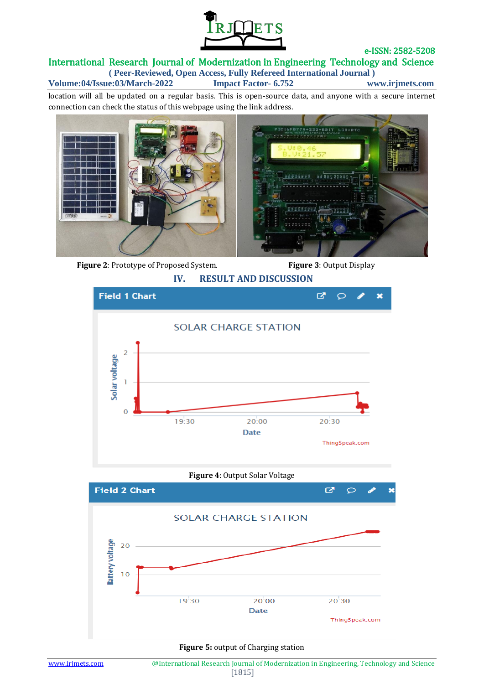

### International Research Journal of Modernization in Engineering Technology and Science **( Peer-Reviewed, Open Access, Fully Refereed International Journal )**

**Volume:04/Issue:03/March-2022 Impact Factor- 6.752 www.irjmets.com**

location will all be updated on a regular basis. This is open-source data, and anyone with a secure internet connection can check the status of this webpage using the link address.



 **Figure 2**: Prototype of Proposed System. **Figure 3**: Output Display



**Figure 4**: Output Solar Voltage



#### **Figure 5:** output of Charging station